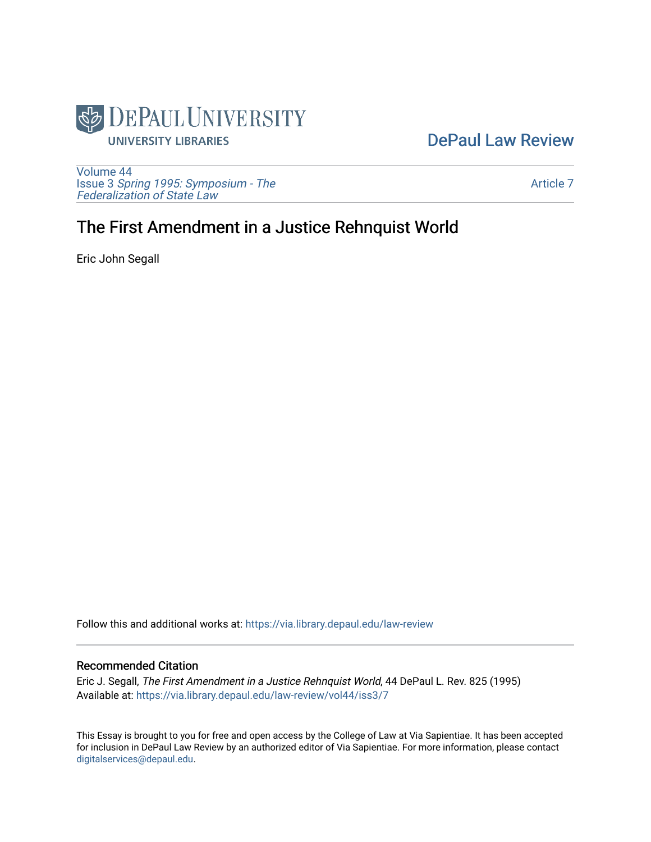

## [DePaul Law Review](https://via.library.depaul.edu/law-review)

[Volume 44](https://via.library.depaul.edu/law-review/vol44) Issue 3 [Spring 1995: Symposium - The](https://via.library.depaul.edu/law-review/vol44/iss3)  [Federalization of State Law](https://via.library.depaul.edu/law-review/vol44/iss3) 

[Article 7](https://via.library.depaul.edu/law-review/vol44/iss3/7) 

# The First Amendment in a Justice Rehnquist World

Eric John Segall

Follow this and additional works at: [https://via.library.depaul.edu/law-review](https://via.library.depaul.edu/law-review?utm_source=via.library.depaul.edu%2Flaw-review%2Fvol44%2Fiss3%2F7&utm_medium=PDF&utm_campaign=PDFCoverPages) 

#### Recommended Citation

Eric J. Segall, The First Amendment in a Justice Rehnquist World, 44 DePaul L. Rev. 825 (1995) Available at: [https://via.library.depaul.edu/law-review/vol44/iss3/7](https://via.library.depaul.edu/law-review/vol44/iss3/7?utm_source=via.library.depaul.edu%2Flaw-review%2Fvol44%2Fiss3%2F7&utm_medium=PDF&utm_campaign=PDFCoverPages) 

This Essay is brought to you for free and open access by the College of Law at Via Sapientiae. It has been accepted for inclusion in DePaul Law Review by an authorized editor of Via Sapientiae. For more information, please contact [digitalservices@depaul.edu.](mailto:digitalservices@depaul.edu)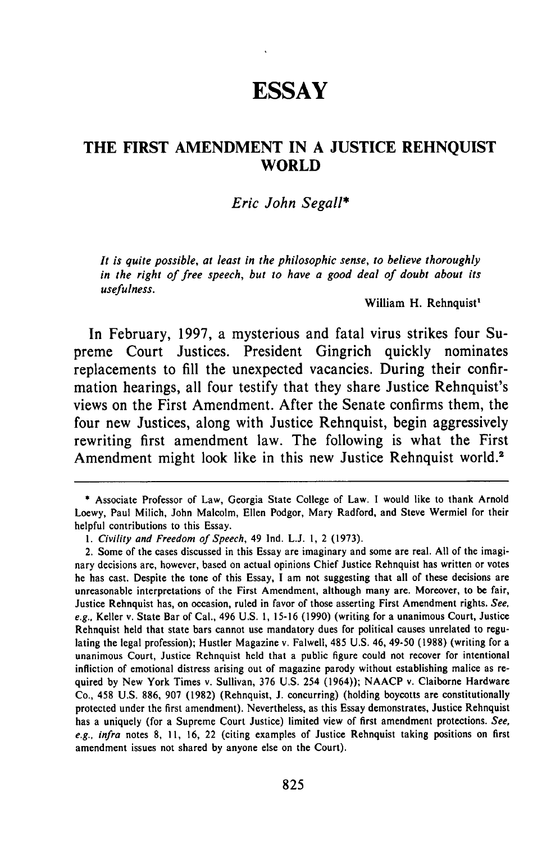## **ESSAY**

### **THE FIRST AMENDMENT IN A JUSTICE REHNQUIST WORLD**

#### *Eric John Segall\**

*It is quite possible, at least in the philosophic sense, to believe thoroughly in the right of free speech, but to have a good deal of doubt about its usefulness.*

William H. Rehnquist'

In February, **1997,** a mysterious and fatal virus strikes four Supreme Court Justices. President Gingrich quickly nominates replacements to **fill** the unexpected vacancies. During their confirmation hearings, all four testify that they share Justice Rehnquist's views on the First Amendment. After the Senate confirms them, the four new Justices, along with Justice Rehnquist, begin aggressively rewriting first amendment law. The following is what the First Amendment might look like in this new Justice Rehnquist world.<sup>2</sup>

<sup>\*</sup> Associate Professor of Law, Georgia State College of Law. I would like to thank Arnold Loewy, Paul Milich, John Malcolm, Ellen Podgor, Mary Radford, and Steve Wermiel for their helpful contributions to this Essay.

*<sup>1.</sup>* Civility and Freedom *of Speech,* 49 Ind. L.J. 1, 2 (1973).

<sup>2.</sup> Some of the cases discussed in this Essay are imaginary and some are real. All of the imaginary decisions are, however, based on actual opinions Chief Justice Rehnquist has written or votes he has cast. Despite the tone of this Essay, I am not suggesting that all of these decisions are unreasonable interpretations of the First Amendment, although many are. Moreover, to be fair, Justice Rehnquist has, on occasion, ruled in favor of those asserting First Amendment rights. *See,* e.g., Keller v. State Bar of Cal., 496 U.S. 1, 15-16 (1990) (writing for a unanimous Court, Justice Rehnquist held that state bars cannot use mandatory dues for political causes unrelated to regulating the legal profession); Hustler Magazine v. Falwell, 485 U.S. 46, 49-50 (1988) (writing for a unanimous Court, Justice Rehnquist held that a public figure could not recover for intentional infliction of emotional distress arising out of magazine parody without establishing malice as required by New York Times v. Sullivan, 376 U.S. 254 (1964)); NAACP v. Claiborne Hardware Co., 458 U.S. 886, 907 (1982) (Rehnquist, J. concurring) (holding boycotts are constitutionally protected under the first amendment). Nevertheless, as this Essay demonstrates, Justice Rehnquist has a uniquely (for a Supreme Court Justice) limited view of first amendment protections. *See, e.g., infra* notes 8, 11, 16, 22 (citing examples of Justice Rehnquist taking positions on first amendment issues not shared by anyone else on the Court).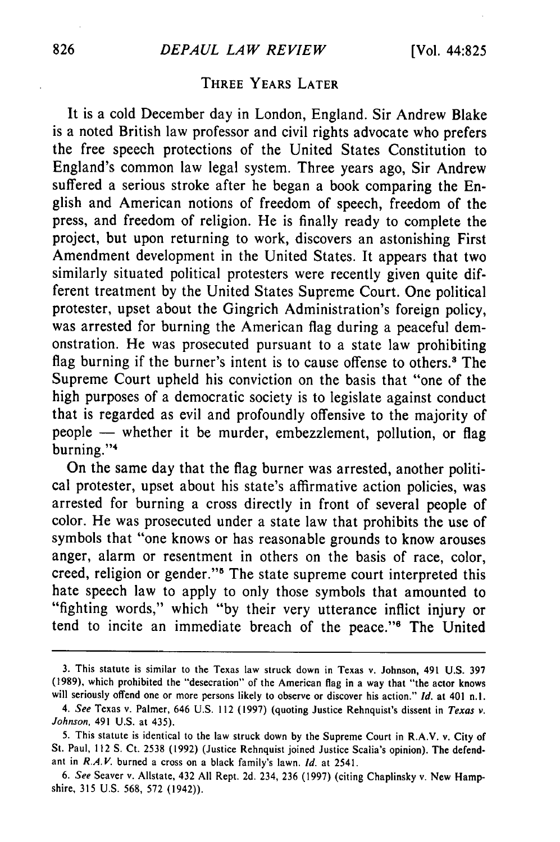### **THREE YEARS LATER**

It is a cold December day in London, England. Sir Andrew Blake is a noted British law professor and civil rights advocate who prefers the free speech protections of the United States Constitution to England's common law legal system. Three years ago, Sir Andrew suffered a serious stroke after he began a book comparing the English and American notions of freedom of speech, freedom of the press, and freedom of religion. He is finally ready to complete the project, but upon returning to work, discovers an astonishing First Amendment development in the United States. It appears that two similarly situated political protesters were recently given quite different treatment by the United States Supreme Court. One political protester, upset about the Gingrich Administration's foreign policy, was arrested for burning the American flag during a peaceful demonstration. He was prosecuted pursuant to a state law prohibiting flag burning if the burner's intent is to cause offense to others.<sup>3</sup> The Supreme Court upheld his conviction on the basis that "one of the high purposes of a democratic society is to legislate against conduct that is regarded as evil and profoundly offensive to the majority of people - whether it be murder, embezzlement, pollution, or flag burning."<sup>4</sup>

On the same day that the flag burner was arrested, another political protester, upset about his state's affirmative action policies, was arrested for burning a cross directly in front of several people of color. He was prosecuted under a state law that prohibits the use of symbols that "one knows or has reasonable grounds to know arouses anger, alarm or resentment in others on the basis of race, color, creed, religion or gender."<sup>5</sup> The state supreme court interpreted this hate speech law to apply to only those symbols that amounted to "fighting words," which "by their very utterance inflict injury or tend to incite an immediate breach of the peace."<sup>6</sup> The United

<sup>3.</sup> This statute is similar to the Texas law struck down in Texas v. Johnson, 491 U.S. 397 (1989), which prohibited the "desecration" of the American flag in a way that "the actor knows will seriously offend one or more persons likely to observe or discover his action." *Id.* at 401 n.l.

*<sup>4.</sup> See* Texas v. Palmer, 646 U.S. 112 (1997) (quoting Justice Rehnquist's dissent in *Texas v.* Johnson, 491 U.S. at 435).

<sup>5.</sup> This statute is identical to the law struck down by the Supreme Court in R.A.V. v. City of St. Paul, 112 **S.** Ct. 2538 (1992) (Justice Rehnquist joined Justice Scalia's opinion). The defendant in *RAY.* burned a cross on a black family's lawn. *Id.* at 2541.

*<sup>6.</sup> See* Seaver v. Allstate, 432 All Rept. 2d. 234, 236 (1997) (citing Chaplinsky v. New Hampshire, 315 U.S. 568, 572 (1942)).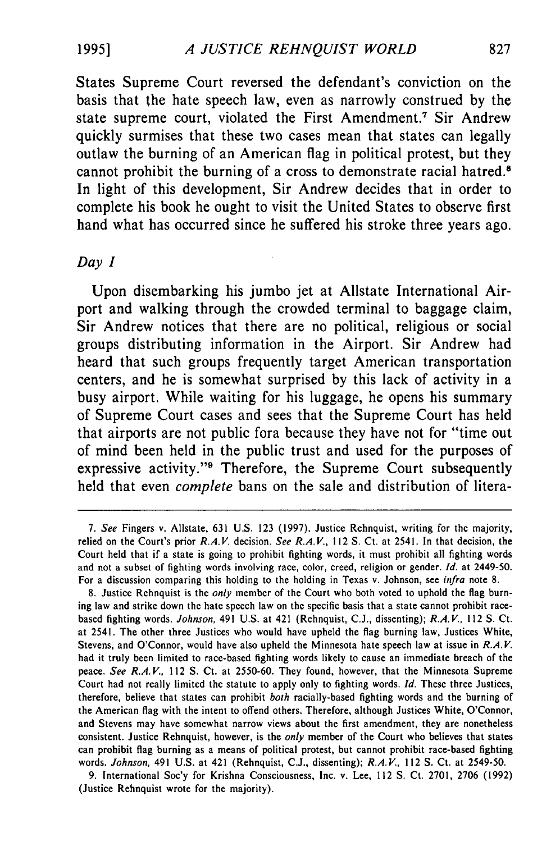States Supreme Court reversed the defendant's conviction on the basis that the hate speech law, even as narrowly construed **by** the state supreme court, violated the First Amendment.<sup>7</sup> Sir Andrew quickly surmises that these two cases mean that states can legally outlaw the burning of an American flag in political protest, but they cannot prohibit the burning of a cross to demonstrate racial hatred.<sup>8</sup> In light of this development, Sir Andrew decides that in order to complete his book he ought to visit the United States to observe first hand what has occurred since he suffered his stroke three years ago.

#### *Day I*

Upon disembarking his jumbo jet at Allstate International Airport and walking through the crowded terminal to baggage claim, Sir Andrew notices that there are no political, religious or social groups distributing information in the Airport. Sir Andrew had heard that such groups frequently target American transportation centers, and he is somewhat surprised **by** this lack of activity in a busy airport. While waiting for his luggage, he opens his summary of Supreme Court cases and sees that the Supreme Court has held that airports are not public fora because they have not for "time out of mind been held in the public trust and used for the purposes of expressive activity."<sup>9</sup> Therefore, the Supreme Court subsequently held that even *complete* bans on the sale and distribution of litera-

9. International Soc'y for Krishna Consciousness, Inc. v. Lee, 112 **S.** Ct. 2701, 2706 (1992) (Justice Rehnquist wrote for the majority).

*<sup>7.</sup>* See Fingers v. Allstate, 631 U.S. 123 (1997). Justice Rehnquist, writing for the majority, relied on the Court's prior R.A.V. decision. *See* R.A.V., 112 **S.** Ct. at 2541. In that decision, the Court held that if a state is going to prohibit fighting words, it must prohibit all fighting words and not a subset of fighting words involving race, color, creed, religion or gender. *Id.* at 2449-50. For a discussion comparing this holding to the holding in Texas v. Johnson, see *infra* note 8.

<sup>8.</sup> Justice Rehnquist is the *only* member of the Court who both voted to uphold the flag burning law and strike down the hate speech law on the specific basis that a state cannot prohibit racebased fighting words. *Johnson,* 491 U.S. at 421 (Rehnquist, C.J., dissenting); *R.A.V.,* 112 **S.** Ct. at 2541. The other three Justices who would have upheld the flag burning law, Justices White, Stevens, and O'Connor, would have also upheld the Minnesota hate speech law at issue in R.A.V. had it truly been limited to race-based fighting words likely to cause an immediate breach of the peace. *See* R.A.V., 112 S. Ct. at 2550-60. They found, however, that the Minnesota Supreme Court had not really limited the statute to apply only to fighting words. *Id.* These three Justices, therefore, believe that states can prohibit *both* racially-based fighting words and the burning of the American flag with the intent to offend others. Therefore, although Justices White, O'Connor, and Stevens may have somewhat narrow views about the first amendment, they are nonetheless consistent. Justice Rehnquist, however, is the *only* member of the Court who believes that states can prohibit flag burning as a means of political protest, but cannot prohibit race-based fighting words. *Johnson,* 491 U.S. at 421 (Rehnquist, C.J., dissenting); *R.A.V.,* 112 S. Ct. at 2549-50.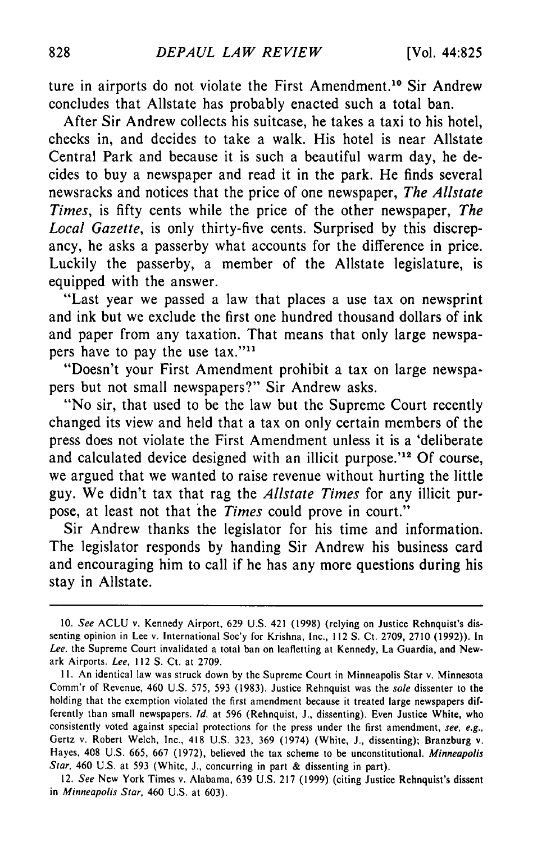ture in airports do not violate the First Amendment.<sup>10</sup> Sir Andrew concludes that Allstate has probably enacted such a total ban.

After Sir Andrew collects his suitcase, he takes a taxi to his hotel, checks in, and decides to take a walk. His hotel is near Allstate Central Park and because it is such a beautiful warm day, he decides to buy a newspaper and read it in the park. He finds several newsracks and notices that the price of one newspaper, *The Allstate Times,* is fifty cents while the price of the other newspaper, *The Local Gazette,* is only thirty-five cents. Surprised by this discrepancy, he asks a passerby what accounts for the difference in price. Luckily the passerby, a member of the Allstate legislature, is equipped with the answer.

"Last year we passed a law that places a use tax on newsprint and ink but we exclude the first one hundred thousand dollars of ink and paper from any taxation. That means that only large newspapers have to pay the use tax."<sup>11</sup>

"Doesn't your First Amendment prohibit a tax on large newspapers but not small newspapers?" Sir Andrew asks.

"No sir, that used to be the law but the Supreme Court recently changed its view and held that a tax on only certain members of the press does not violate the First Amendment unless it is a 'deliberate and calculated device designed with an illicit purpose.<sup>12</sup> Of course, we argued that we wanted to raise revenue without hurting the little guy. We didn't tax that rag the *Allstate Times* for any illicit purpose, at least not that the *Times* could prove in court."

Sir Andrew thanks the legislator for his time and information. The legislator responds by handing Sir Andrew his business card and encouraging him to call if he has any more questions during his stay in Allstate.

<sup>10.</sup> *See* ACLU v. Kennedy Airport, 629 U.S. 421 (1998) (relying on Justice Rehnquist's dissenting opinion in Lee v. International Soc'y for Krishna, Inc., 112 S. Ct. 2709, 2710 (1992)). In *Lee,* the Supreme Court invalidated a total ban on leafletting at Kennedy, La Guardia, and Newark Airports. *Lee,* 112 S. Ct. at 2709.

**<sup>11.</sup>** An identical law was struck down by the Supreme Court in Minneapolis Star v. Minnesota Comm'r of Revenue, 460 U.S. 575, 593 (1983). Justice Rehnquist was the sole dissenter to the holding that the exemption violated the first amendment because it treated large newspapers differently than small newspapers. **Id.** at 596 (Rehnquist, J., dissenting). Even Justice White, who consistently voted against special protections for the press under the first amendment, see, e.g., Gertz v. Robert Welch, Inc., 418 U.S. 323, 369 (1974) (White, J., dissenting); Branzburg v. Hayes, 408 U.S. 665, 667 (1972), believed the tax scheme to be unconstitutional. Minneapolis Star, 460 U.S. at 593 (White, J., concurring in part & dissenting in part).

<sup>12.</sup> See New York Times v. Alabama, 639 U.S. 217 (1999) (citing Justice Rehnquist's dissent in Minneapolis Star, 460 U.S. at 603).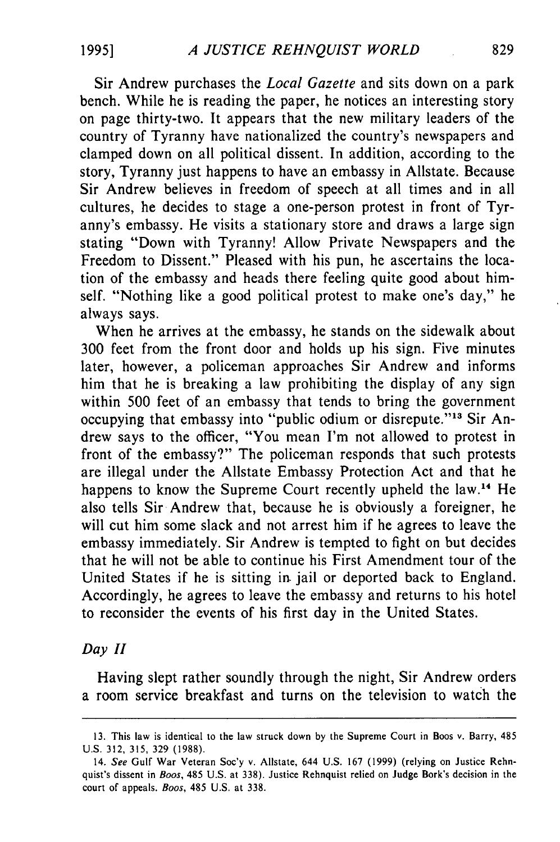Sir Andrew purchases the *Local Gazette* and sits down on a park bench. While he is reading the paper, he notices an interesting story on page thirty-two. It appears that the new military leaders of the country of Tyranny have nationalized the country's newspapers and clamped down on all political dissent. In addition, according to the story, Tyranny just happens to have an embassy in Allstate. Because Sir Andrew believes in freedom of speech at all times and in all cultures, he decides to stage a one-person protest in front of Tyranny's embassy. He visits a stationary store and draws a large sign stating "Down with Tyranny! Allow Private Newspapers and the Freedom to Dissent." Pleased with his pun, he ascertains the location of the embassy and heads there feeling quite good about himself. "Nothing like a good political protest to make one's day," he always says.

When he arrives at the embassy, he stands on the sidewalk about 300 feet from the front door and holds up his sign. Five minutes later, however, a policeman approaches Sir Andrew and informs him that he is breaking a law prohibiting the display of any sign within 500 feet of an embassy that tends to bring the government occupying that embassy into "public odium or disrepute."<sup>13</sup> Sir Andrew says to the officer, "You mean I'm not allowed to protest in front of the embassy?" The policeman responds that such protests are illegal under the Allstate Embassy Protection Act and that he happens to know the Supreme Court recently upheld the law.<sup>14</sup> He also tells Sir Andrew that, because he is obviously a foreigner, he will cut him some slack and not arrest him if he agrees to leave the embassy immediately. Sir Andrew is tempted to fight on but decides that he will not be able to continue his First Amendment tour of the United States if he is sitting in jail or deported back to England. Accordingly, he agrees to leave the embassy and returns to his hotel to reconsider the events of his first day in the United States.

#### *Day* H

Having slept rather soundly through the night, Sir Andrew orders a room service breakfast and turns on the television to watch the

<sup>13.</sup> This law is identical to the law struck down by the Supreme Court in Boos v. Barry, 485 U.S. 312, 315, 329 (1988).

<sup>14.</sup> *See* Gulf War Veteran Soc'y v. Allstate, 644 U.S. 167 (1999) (relying on Justice Rehnquist's dissent in *Boos,* 485 U.S. at 338). Justice Rehnquist relied on Judge Bork's decision in the court of appeals. *Boos,* 485 U.S. at 338.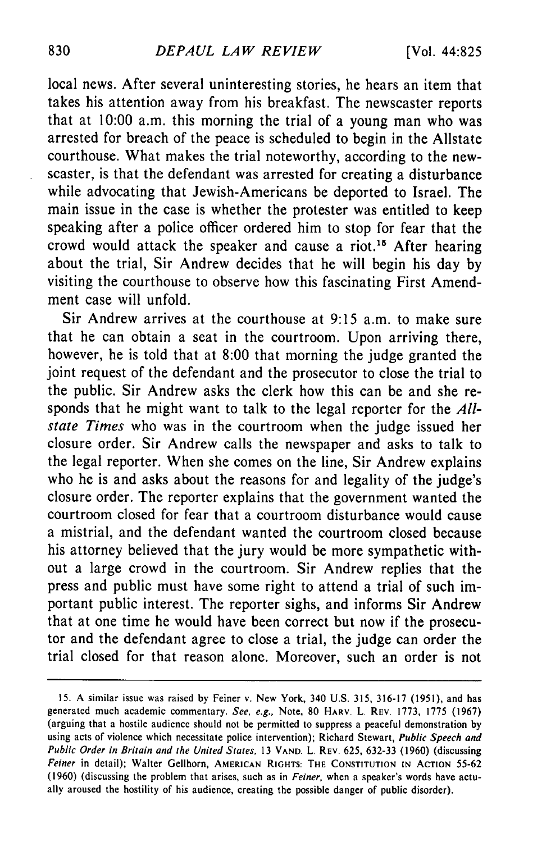local news. After several uninteresting stories, he hears an item that takes his attention away from his breakfast. The newscaster reports that at 10:00 a.m. this morning the trial of a young man who was arrested for breach of the peace is scheduled to begin in the Allstate courthouse. What makes the trial noteworthy, according to the newscaster, is that the defendant was arrested for creating a disturbance while advocating that Jewish-Americans be deported to Israel. The main issue in the case is whether the protester was entitled to keep speaking after a police officer ordered him to stop for fear that the crowd would attack the speaker and cause a riot.15 After hearing about the trial, Sir Andrew decides that he will begin his day by visiting the courthouse to observe how this fascinating First Amendment case will unfold.

Sir Andrew arrives at the courthouse at 9:15 a.m. to make sure that he can obtain a seat in the courtroom. Upon arriving there, however, he is told that at 8:00 that morning the judge granted the joint request of the defendant and the prosecutor to close the trial to the public. Sir Andrew asks the clerk how this can be and she responds that he might want to talk to the legal reporter for the *Allstate Times* who was in the courtroom when the judge issued her closure order. Sir Andrew calls the newspaper and asks to talk to the legal reporter. When she comes on the line, Sir Andrew explains who he is and asks about the reasons for and legality of the judge's closure order. The reporter explains that the government wanted the courtroom closed for fear that a courtroom disturbance would cause a mistrial, and the defendant wanted the courtroom closed because his attorney believed that the jury would be more sympathetic without a large crowd in the courtroom. Sir Andrew replies that the press and public must have some right to attend a trial of such important public interest. The reporter sighs, and informs Sir Andrew that at one time he would have been correct but now if the prosecutor and the defendant agree to close a trial, the judge can order the trial closed for that reason alone. Moreover, such an order is not

<sup>15.</sup> A similar issue was raised by Feiner v. New York, 340 U.S. 315, 316-17 (1951), and has generated much academic commentary. See, e.g., Note, 80 HARV. L. REV. 1773, 1775 (1967) (arguing that a hostile audience should not be permitted to suppress a peaceful demonstration by using acts of violence which necessitate police intervention); Richard Stewart, Public Speech and Public Order in Britain and the United States, 13 **VAND.** L. **REV.** 625, 632-33 (1960) (discussing Feiner in detail); Walter Gellhorn, **AMERICAN** RIGHTS: **THE CONSTITUTION IN ACTION** 55-62 (1960) (discussing the problem that arises, such as in Feiner, when a speaker's words have actually aroused the hostility of his audience, creating the possible danger of public disorder).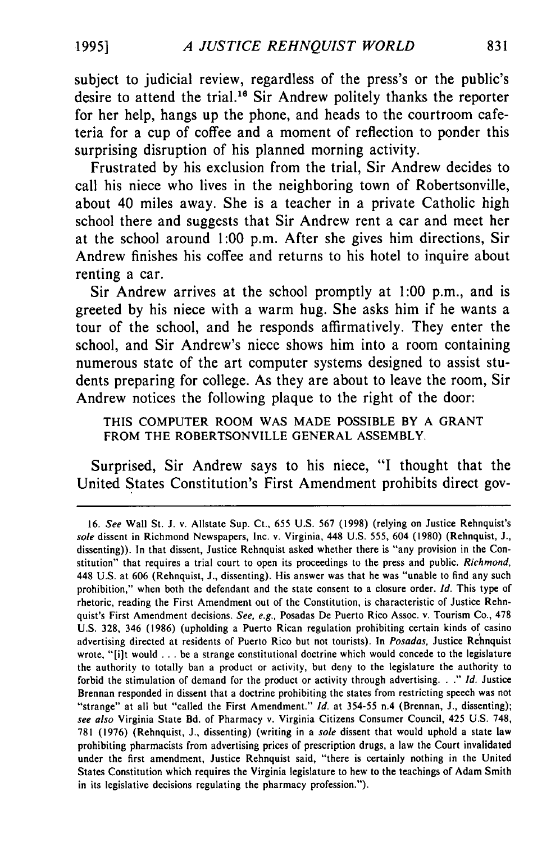subject to judicial review, regardless of the press's or the public's desire to attend the trial.16 Sir Andrew politely thanks the reporter for her help, hangs up the phone, and heads to the courtroom cafeteria for a cup of coffee and a moment of reflection to ponder this surprising disruption of his planned morning activity.

Frustrated **by** his exclusion from the trial, Sir Andrew decides to call his niece who lives in the neighboring town of Robertsonville, about 40 miles away. She is a teacher in a private Catholic high school there and suggests that Sir Andrew rent a car and meet her at the school around **1:00** p.m. After she gives him directions, Sir Andrew finishes his coffee and returns to his hotel to inquire about renting a car.

Sir Andrew arrives at the school promptly at **1:00** p.m., and is greeted **by** his niece with a warm hug. She asks him if he wants a tour of the school, and he responds affirmatively. They enter the school, and Sir Andrew's niece shows him into a room containing numerous state of the art computer systems designed to assist students preparing for college. As they are about to leave the room, Sir Andrew notices the following plaque to the right of the door:

**THIS** COMPUTER ROOM WAS **MADE** POSSIBLE BY **A** GRANT FROM THE ROBERTSONVILLE **GENERAL** ASSEMBLY.

Surprised, Sir Andrew says to his niece, **"I** thought that the United States Constitution's First Amendment prohibits direct gov-

**1995]**

**<sup>16.</sup>** See Wall St. J. v. Allstate Sup. Ct., 655 U.S. 567 (1998) (relying on Justice Rehnquist's sole dissent in Richmond Newspapers, Inc. v. Virginia, 448 U.S. **555,** 604 **(1980)** (Rehnquist, **J.,** dissenting)). In that dissent, Justice Rehnquist asked whether there is "any provision in the Constitution" that requires a trial court to open its proceedings to the press and public. Richmond, 448 U.S. at 606 (Rehnquist, J., dissenting). His answer was that he was "unable to find any such prohibition," when both the defendant and the state consent to a closure order. *Id.* This type of rhetoric, reading the First Amendment out of the Constitution, is characteristic of Justice Rehnquist's First Amendment decisions. *See, e.g.,* Posadas De Puerto Rico Assoc. v. Tourism Co., 478 U.S. 328, 346 (1986) (upholding a Puerto Rican regulation prohibiting certain kinds of casino advertising directed at residents of Puerto Rico but not tourists). In *Posadas,* Justice Rehnquist wrote, " $[i]$ t would ... be a strange constitutional doctrine which would concede to the legislature the authority to totally ban a product or activity, but deny to the legislature the authority to forbid the stimulation of demand for the product or activity through advertising..." *Id.* Justice Brennan responded in dissent that a doctrine prohibiting the states from restricting speech was not "strange" at all but "called the First Amendment." *Id.* at 354-55 n.4 (Brennan, J., dissenting); *see also* Virginia State Bd. of Pharmacy v. Virginia Citizens Consumer Council, 425 U.S. 748, 781 (1976) (Rehnquist, J., dissenting) (writing in a *sole* dissent that would uphold a state law prohibiting pharmacists from advertising prices of prescription drugs, a law the Court invalidated under the first amendment, Justice Rehnquist said, "there is certainly nothing in the United States Constitution which requires the Virginia legislature to hew to the teachings of Adam Smith in its legislative decisions regulating the pharmacy profession.").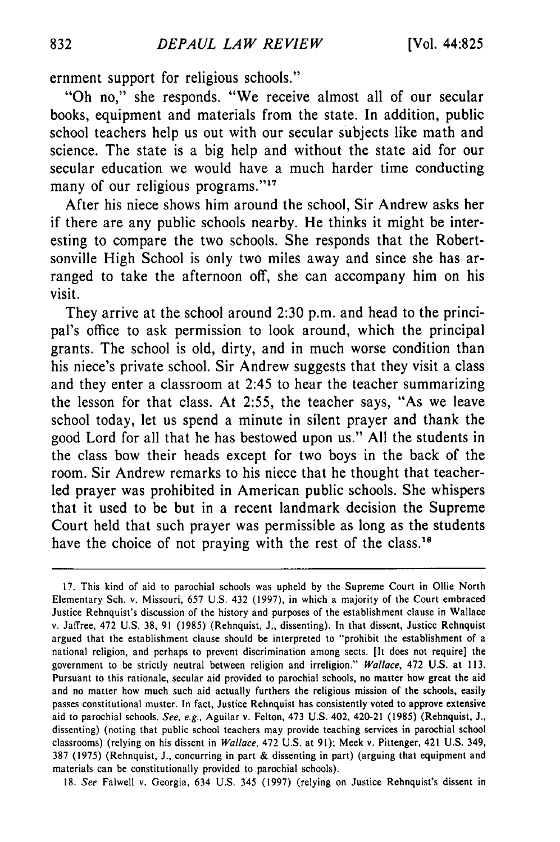ernment support for religious schools."

"Oh no," she responds. "We receive almost all of our secular books, equipment and materials from the state. In addition, public school teachers help us out with our secular subjects like math and science. The state is a big help and without the state aid for our secular education we would have a much harder time conducting many of our religious programs."<sup>17</sup>

After his niece shows him around the school, Sir Andrew asks her if there are any public schools nearby. He thinks it might be interesting to compare the two schools. She responds that the Robertsonville High School is only two miles away and since she has arranged to take the afternoon off, she can accompany him on his visit.

They arrive at the school around 2:30 p.m. and head to the principal's office to ask permission to look around, which the principal grants. The school is old, dirty, and in much worse condition than his niece's private school. Sir Andrew suggests that they visit a class and they enter a classroom at 2:45 to hear the teacher summarizing the lesson for that class. At 2:55, the teacher says, "As we leave school today, let us spend a minute in silent prayer and thank the good Lord for all that he has bestowed upon us." All the students in the class bow their heads except for two boys in the back of the room. Sir Andrew remarks to his niece that he thought that teacherled prayer was prohibited in American public schools. She whispers that it used to be but in a recent landmark decision the Supreme Court held that such prayer was permissible as long as the students have the choice of not praying with the rest of the class.<sup>18</sup>

18. *See* Falwell v. Georgia, 634 U.S. 345 (1997) (relying on Justice Rehnquist's dissent in

<sup>17.</sup> This kind of aid to parochial schools was upheld by the Supreme Court in Ollie North Elementary Sch. v. Missouri, 657 U.S. 432 (1997), in which a majority of the Court embraced Justice Rehnquist's discussion of the history and purposes of the establishment clause in Wallace v. Jaffree, 472 U.S. 38, 91 (1985) (Rehnquist, J., dissenting). In that dissent, Justice Rehnquist argued that the establishment clause should be interpreted to "prohibit the establishment of a national religion, and perhaps to prevent discrimination among sects. [It does not require] the government to be strictly neutral between religion and irreligion." *Wallace,* 472 U.S. at 113. Pursuant to this rationale, secular aid provided to parochial schools, no matter how great the aid and no matter how much such aid actually furthers the religious mission of the schools, easily passes constitutional muster. In fact, Justice Rehnquist has consistently voted to approve extensive aid to parochial schools. *See, e.g..* Aguilar v. Felton, 473 U.S. 402, 420-21 (1985) (Rehnquist, J., dissenting) (noting that public school teachers may provide teaching services in parochial school classrooms) (relying on his dissent in *Wallace,* 472 U.S. at 91); Meek v. Pittenger, 421 U.S. 349, 387 (1975) (Rehnquist, J., concurring in part & dissenting in part) (arguing that equipment and materials can be constitutionally provided to parochial schools).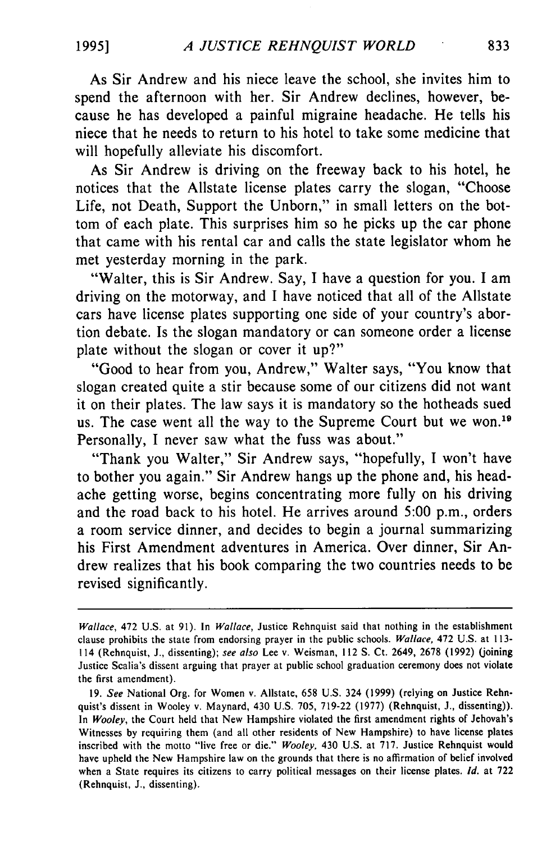As Sir Andrew and his niece leave the school, she invites him to spend the afternoon with her. Sir Andrew declines, however, because he has developed a painful migraine headache. He tells his niece that he needs to return to his hotel to take some medicine that will hopefully alleviate his discomfort.

As Sir Andrew is driving on the freeway back to his hotel, he notices that the Allstate license plates carry the slogan, "Choose Life, not Death, Support the Unborn," in small letters on the bottom of each plate. This surprises him so he picks up the car phone that came with his rental car and calls the state legislator whom he met yesterday morning in the park.

"Walter, this is Sir Andrew. Say, I have a question for you. I am driving on the motorway, and I have noticed that all of the Allstate cars have license plates supporting one side of your country's abortion debate. Is the slogan mandatory or can someone order a license plate without the slogan or cover it up?"

"Good to hear from you, Andrew," Walter says, "You know that slogan created quite a stir because some of our citizens did not want it on their plates. The law says it is mandatory so the hotheads sued us. The case went all the way to the Supreme Court but we won.<sup>19</sup> Personally, I never saw what the fuss was about."

"Thank you Walter," Sir Andrew says, "hopefully, I won't have to bother you again." Sir Andrew hangs up the phone and, his headache getting worse, begins concentrating more fully on his driving and the road back to his hotel. He arrives around 5:00 p.m., orders a room service dinner, and decides to begin a journal summarizing his First Amendment adventures in America. Over dinner, Sir Andrew realizes that his book comparing the two countries needs to be revised significantly.

Wallace, 472 U.S. at 91). In Wallace, Justice Rehnquist said that nothing in the establishment clause prohibits the state from endorsing prayer in the public schools. Wallace, 472 U.S. at 113- 114 (Rehnquist, J., dissenting); see also Lee v. Weisman, 112 **S.** Ct. 2649, 2678 (1992) (joining Justice Scalia's dissent arguing that prayer at public school graduation ceremony does not violate the first amendment).

<sup>19.</sup> See National Org. for Women v. Allstate, 658 U.S. 324 (1999) (relying on Justice Rehnquist's dissent in Wooley v. Maynard, 430 U.S. 705, 719-22 (1977) (Rehnquist, J., dissenting)). In Wooley, the Court held that New Hampshire violated the first amendment rights of Jehovah's Witnesses by requiring them (and all other residents of New Hampshire) to have license plates inscribed with the motto "live free or die." Wooley, 430 U.S. at 717. Justice Rehnquist would have upheld the New Hampshire law on the grounds that there is no affirmation of belief involved when a State requires its citizens to carry political messages on their license plates. *Id.* at 722 (Rehnquist, J., dissenting).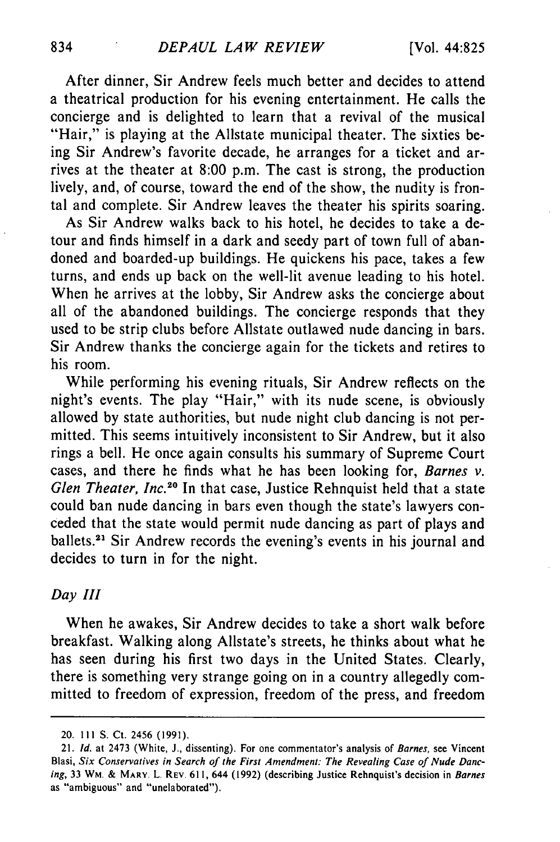After dinner, Sir Andrew feels much better and decides to attend a theatrical production for his evening entertainment. He calls the concierge and is delighted to learn that a revival of the musical "Hair," is playing at the Allstate municipal theater. The sixties being Sir Andrew's favorite decade, he arranges for a ticket and arrives at the theater at 8:00 p.m. The cast is strong, the production lively, and, of course, toward the end of the show, the nudity is frontal and complete. Sir Andrew leaves the theater his spirits soaring.

As Sir Andrew walks back to his hotel, he decides to take a detour and finds himself in a dark and seedy part of town full of abandoned and boarded-up buildings. He quickens his pace, takes a few turns, and ends up back on the well-lit avenue leading to his hotel. When he arrives at the lobby, Sir Andrew asks the concierge about all of the abandoned buildings. The concierge responds that they used to be strip clubs before Allstate outlawed nude dancing in bars. Sir Andrew thanks the concierge again for the tickets and retires to his room.

While performing his evening rituals, Sir Andrew reflects on the night's events. The play "Hair," with its nude scene, is obviously allowed by state authorities, but nude night club dancing is not permitted. This seems intuitively inconsistent to Sir Andrew, but it also rings a bell. He once again consults his summary of Supreme Court cases, and there he finds what he has been looking for, *Barnes v. Glen Theater, Inc.*<sup>20</sup> In that case, Justice Rehnquist held that a state could ban nude dancing in bars even though the state's lawyers conceded that the state would permit nude dancing as part of plays and ballets.<sup>21</sup> Sir Andrew records the evening's events in his journal and decides to turn in for the night.

#### *Day III*

When he awakes, Sir Andrew decides to take a short walk before breakfast. Walking along Allstate's streets, he thinks about what he has seen during his first two days in the United States. Clearly, there is something very strange going on in a country allegedly committed to freedom of expression, freedom of the press, and freedom

<sup>20. 111</sup> **S.** Ct. 2456 (1991).

<sup>21.</sup> *Id.* at 2473 (White, J., dissenting). For one commentator's analysis of *Barnes,* see Vincent Blasi, Six *Conservatives in* Search *of the First Amendment: The* Revealing *Case of Nude* Danc*ing,* **33** WM. **&** MARY. L. REV. 611, 644 (1992) (describing Justice Rehnquist's decision in *Barnes* as "ambiguous" and "unelaborated").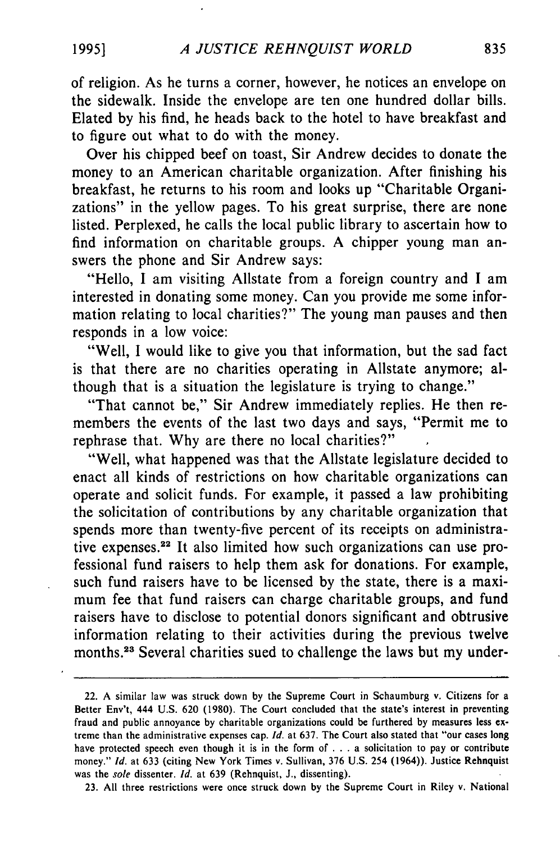of religion. As he turns a corner, however, he notices an envelope on the sidewalk. Inside the envelope are ten one hundred dollar bills. Elated by his find, he heads back to the hotel to have breakfast and to figure out what to do with the money.

Over his chipped beef on toast, Sir Andrew decides to donate the money to an American charitable organization. After finishing his breakfast, he returns to his room and looks up "Charitable Organizations" in the yellow pages. To his great surprise, there are none listed. Perplexed, he calls the local public library to ascertain how to find information on charitable groups. A chipper young man answers the phone and Sir Andrew says:

"Hello, I am visiting Allstate from a foreign country and I am interested in donating some money. Can you provide me some information relating to local charities?" The young man pauses and then responds in a low voice:

"Well, I would like to give you that information, but the sad fact is that there are no charities operating in Allstate anymore; although that is a situation the legislature is trying to change."

"That cannot be," Sir Andrew immediately replies. He then remembers the events of the last two days and says, "Permit me to rephrase that. Why are there no local charities?"

"Well, what happened was that the Allstate legislature decided to enact all kinds of restrictions on how charitable organizations can operate and solicit funds. For example, it passed a law prohibiting the solicitation of contributions by any charitable organization that spends more than twenty-five percent of its receipts on administrative expenses.<sup>22</sup> It also limited how such organizations can use professional fund raisers to help them ask for donations. For example, such fund raisers have to be licensed by the state, there is a maximum fee that fund raisers can charge charitable groups, and fund raisers have to disclose to potential donors significant and obtrusive information relating to their activities during the previous twelve months.<sup>23</sup> Several charities sued to challenge the laws but my under-

23. All three restrictions were once struck down by the Supreme Court in Riley v. National

<sup>22.</sup> A similar law was struck down by the Supreme Court in Schaumburg v. Citizens for a Better Env't, 444 U.S. 620 (1980). The Court concluded that the state's interest in preventing fraud and public annoyance by charitable organizations could be furthered by measures less extreme than the administrative expenses cap. *Id.* at 637. The Court also stated that "our cases long have protected speech even though it is in the form of **. .** .a solicitation to pay or contribute money." *Id.* at 633 (citing New York Times v. Sullivan, 376 U.S. 254 (1964)). Justice Rehnquist was the *sole* dissenter. *Id.* at 639 (Rehnquist, J., dissenting).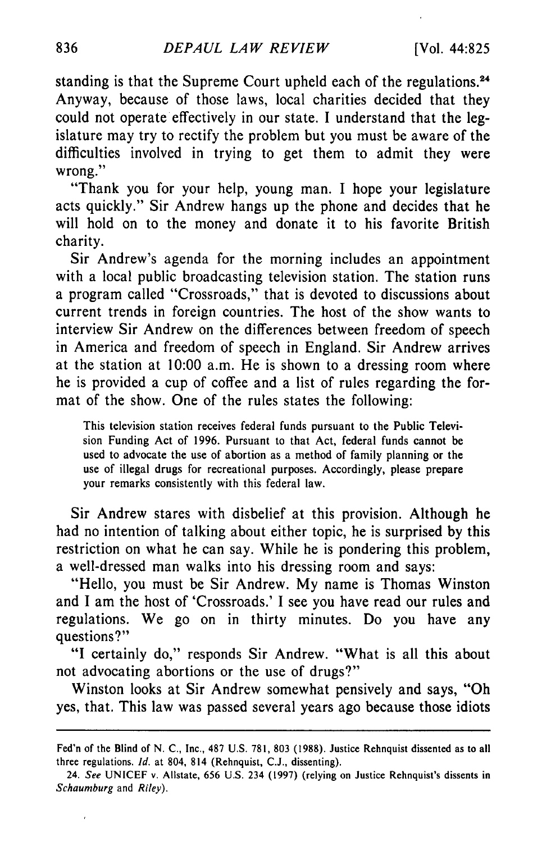standing is that the Supreme Court upheld each of the regulations.<sup>24</sup> Anyway, because of those laws, local charities decided that they could not operate effectively in our state. I understand that the legislature may try to rectify the problem but you must be aware of the difficulties involved in trying to get them to admit they were wrong."

"Thank you for your help, young man. I hope your legislature acts quickly." Sir Andrew hangs up the phone and decides that he will hold on to the money and donate it to his favorite British charity.

Sir Andrew's agenda for the morning includes an appointment with a local public broadcasting television station. The station runs a program called "Crossroads," that is devoted to discussions about current trends in foreign countries. The host of the show wants to interview Sir Andrew on the differences between freedom of speech in America and freedom of speech in England. Sir Andrew arrives at the station at 10:00 a.m. He is shown to a dressing room where he is provided a cup of coffee and a list of rules regarding the format of the show. One of the rules states the following:

This television station receives federal funds pursuant to the Public Television Funding Act of 1996. Pursuant to that Act, federal funds cannot be used to advocate the use of abortion as a method of family planning or the use of illegal drugs for recreational purposes. Accordingly, please prepare your remarks consistently with this federal law.

Sir Andrew stares with disbelief at this provision. Although he had no intention of talking about either topic, he is surprised by this restriction on what he can say. While he is pondering this problem, a well-dressed man walks into his dressing room and says:

"Hello, you must be Sir Andrew. My name is Thomas Winston and I am the host of 'Crossroads.' I see you have read our rules and regulations. We go on in thirty minutes. Do you have any questions?"

"I certainly do," responds Sir Andrew. "What is all this about not advocating abortions or the use of drugs?"

Winston looks at Sir Andrew somewhat pensively and says, "Oh yes, that. This law was passed several years ago because those idiots

Fed'n of the Blind of N. C., Inc., 487 U.S. 781, **803 (1988).** Justice Rehnquist dissented as to all three regulations. *Id.* at 804, 814 (Rehnquist, C.J., dissenting).

<sup>24.</sup> See UNICEF v. Allstate, **656 U.S.** 234 **(1997)** (relying on Justice Rehnquist's dissents in *Schaumburg* and *Riley).*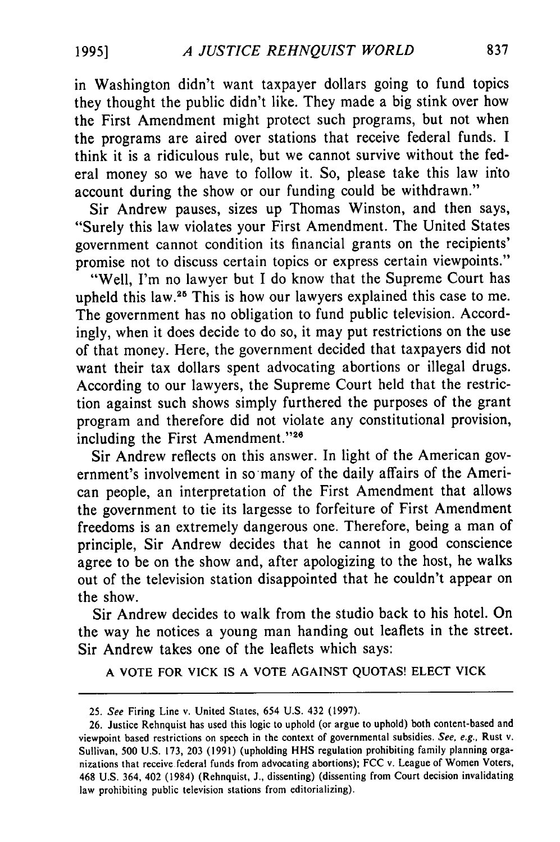in Washington didn't want taxpayer dollars going to fund topics they thought the public didn't like. They made a big stink over how the First Amendment might protect such programs, but not when the programs are aired over stations that receive federal funds. I think it is a ridiculous rule, but we cannot survive without the federal money so we have to follow it. So, please take this law into account during the show or our funding could be withdrawn."

Sir Andrew pauses, sizes up Thomas Winston, and then says, "Surely this law violates your First Amendment. The United States government cannot condition its financial grants on the recipients' promise not to discuss certain topics or express certain viewpoints."

"Well, I'm no lawyer but I do know that the Supreme Court has upheld this law.<sup>25</sup> This is how our lawyers explained this case to me. The government has no obligation to fund public television. Accordingly, when it does decide to do so, it may put restrictions on the use of that money. Here, the government decided that taxpayers did not want their tax dollars spent advocating abortions or illegal drugs. According to our lawyers, the Supreme Court held that the restriction against such shows simply furthered the purposes of the grant program and therefore did not violate any constitutional provision, including the First Amendment."26

Sir Andrew reflects on this answer. In light of the American government's involvement in so many of the daily affairs of the American people, an interpretation of the First Amendment that allows the government to tie its largesse to forfeiture of First Amendment freedoms is an extremely dangerous one. Therefore, being a man of principle, Sir Andrew decides that he cannot in good conscience agree to be on the show and, after apologizing to the host, he walks out of the television station disappointed that he couldn't appear on the show.

Sir Andrew decides to walk from the studio back to his hotel. On the way he notices a young man handing out leaflets in the street. Sir Andrew takes one of the leaflets which says:

**A** VOTE FOR VICK **IS A** VOTE **AGAINST QUOTAS! ELECT** VICK

<sup>25.</sup> See Firing Line v. United States, 654 U.S. 432 (1997).

<sup>26.</sup> Justice Rehnquist has used this logic to uphold (or argue to uphold) both content-based and viewpoint based restrictions on speech in the context of governmental subsidies. See, e.g., Rust v. Sullivan, 500 U.S. 173, 203 (1991) (upholding HHS regulation prohibiting family planning organizations that receive federal funds from advocating abortions); FCC v. League of Women Voters, 468 U.S. 364, 402 (1984) (Rehnquist, J., dissenting) (dissenting from Court decision invalidating law prohibiting public television stations from editorializing).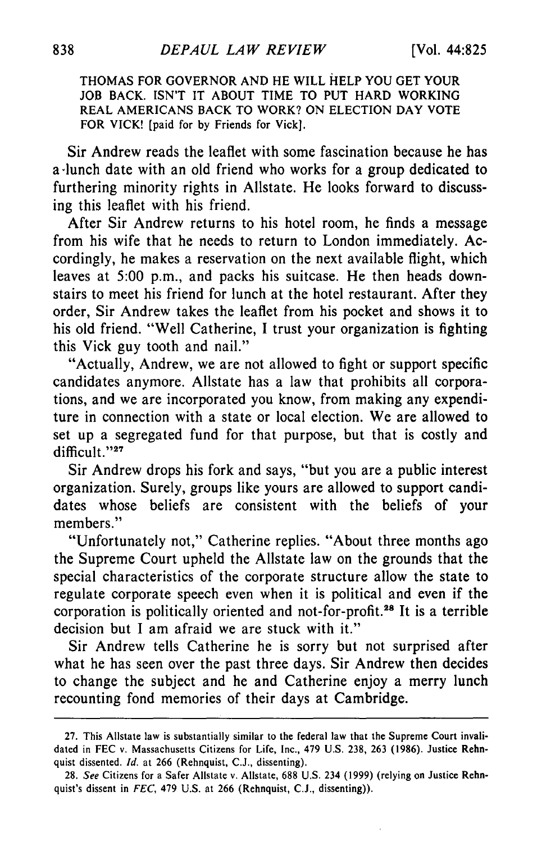**THOMAS FOR** GOVERNOR **AND HE** WILL HELP **YOU GET** YOUR **JOB** BACK. ISN'T IT **ABOUT** TIME TO **PUT** HARD WORKING REAL **AMERICANS** BACK TO WORK? **ON** ELECTION DAY VOTE FOR VICK! [paid for **by** Friends for Vick].

Sir Andrew reads the leaflet with some fascination because he has a-lunch date with an old friend who works for a group dedicated to furthering minority rights in Allstate. He looks forward to discussing this leaflet with his friend.

After Sir Andrew returns to his hotel room, he finds a message from his wife that he needs to return to London immediately. Accordingly, he makes a reservation on the next available flight, which leaves at 5:00 p.m., and packs his suitcase. He then heads downstairs to meet his friend for lunch at the hotel restaurant. After they order, Sir Andrew takes the leaflet from his pocket and shows it to his old friend. "Well Catherine, I trust your organization is fighting this Vick guy tooth and nail."

"Actually, Andrew, we are not allowed to fight or support specific candidates anymore. Allstate has a law that prohibits all corporations, and we are incorporated you know, from making any expenditure in connection with a state or local election. We are allowed to set up a segregated fund for that purpose, but that is costly and difficult."27

Sir Andrew drops his fork and says, "but you are a public interest organization. Surely, groups like yours are allowed to support candidates whose beliefs are consistent with the beliefs of your members."

"Unfortunately not," Catherine replies. "About three months ago the Supreme Court upheld the Allstate law on the grounds that the special characteristics of the corporate structure allow the state to regulate corporate speech even when it is political and even if the corporation is politically oriented and not-for-profit.<sup>28</sup> It is a terrible decision but I am afraid we are stuck with it."

Sir Andrew tells Catherine he is sorry but not surprised after what he has seen over the past three days. Sir Andrew then decides to change the subject and he and Catherine enjoy a merry lunch recounting fond memories of their days at Cambridge.

<sup>27.</sup> This Allstate law is substantially similar to the federal law that the Supreme Court invalidated in FEC v. Massachusetts Citizens for Life, Inc., 479 U.S. 238, 263 (1986). Justice Rehnquist dissented. *Id.* at 266 (Rehnquist, C.J., dissenting).

<sup>28.</sup> *See* Citizens for a Safer Allstate v. Allstate, 688 U.S. 234 (1999) (relying on Justice Rehnquist's dissent in *FEC,* 479 U.S. at 266 (Rehnquist, C.J., dissenting)).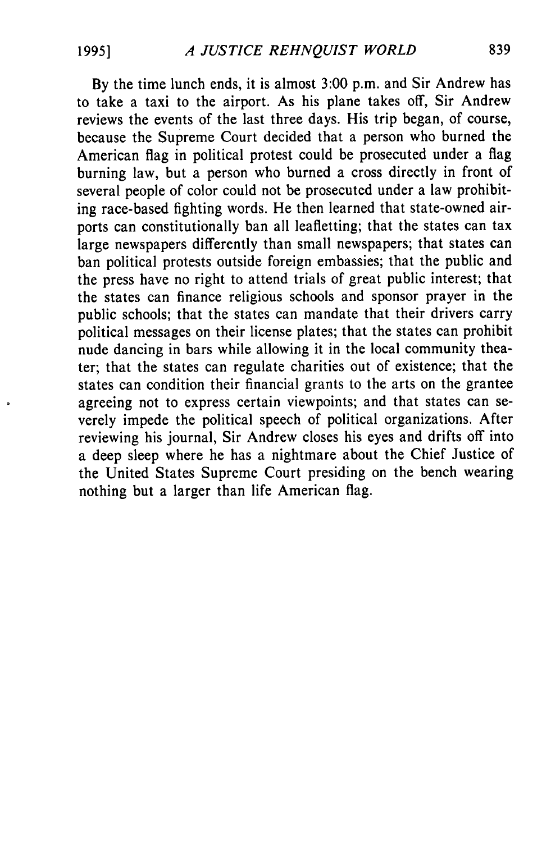By the time lunch ends, it is almost 3:00 p.m. and Sir Andrew has to take a taxi to the airport. As his plane takes off, Sir Andrew reviews the events of the last three days. His trip began, of course, because the Supreme Court decided that a person who burned the American flag in political protest could be prosecuted under a flag burning law, but a person who burned a cross directly in front of several people of color could not be prosecuted under a law prohibiting race-based fighting words. He then learned that state-owned airports can constitutionally ban all leafletting; that the states can tax large newspapers differently than small newspapers; that states can ban political protests outside foreign embassies; that the public and the press have no right to attend trials of great public interest; that the states can finance religious schools and sponsor prayer in the public schools; that the states can mandate that their drivers carry political messages on their license plates; that the states can prohibit nude dancing in bars while allowing it in the local community theater; that the states can regulate charities out of existence; that the states can condition their financial grants to the arts on the grantee agreeing not to express certain viewpoints; and that states can severely impede the political speech of political organizations. After reviewing his journal, Sir Andrew closes his eyes and drifts off into a deep sleep where he has a nightmare about the Chief Justice of the United States Supreme Court presiding on the bench wearing nothing but a larger than life American flag.